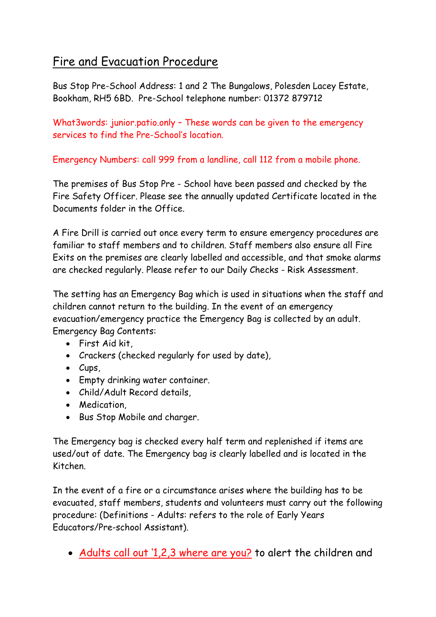## Fire and Evacuation Procedure

Bus Stop Pre-School Address: 1 and 2 The Bungalows, Polesden Lacey Estate, Bookham, RH5 6BD. Pre-School telephone number: 01372 879712

What3words: junior.patio.only – These words can be given to the emergency services to find the Pre-School's location.

Emergency Numbers: call 999 from a landline, call 112 from a mobile phone.

The premises of Bus Stop Pre - School have been passed and checked by the Fire Safety Officer. Please see the annually updated Certificate located in the Documents folder in the Office.

A Fire Drill is carried out once every term to ensure emergency procedures are familiar to staff members and to children. Staff members also ensure all Fire Exits on the premises are clearly labelled and accessible, and that smoke alarms are checked regularly. Please refer to our Daily Checks - Risk Assessment.

The setting has an Emergency Bag which is used in situations when the staff and children cannot return to the building. In the event of an emergency evacuation/emergency practice the Emergency Bag is collected by an adult. Emergency Bag Contents:

- First Aid kit,
- Crackers (checked regularly for used by date),
- Cups,
- Empty drinking water container.
- Child/Adult Record details,
- Medication,
- Bus Stop Mobile and charger.

The Emergency bag is checked every half term and replenished if items are used/out of date. The Emergency bag is clearly labelled and is located in the Kitchen.

In the event of a fire or a circumstance arises where the building has to be evacuated, staff members, students and volunteers must carry out the following procedure: (Definitions - Adults: refers to the role of Early Years Educators/Pre-school Assistant).

• Adults call out '1,2,3 where are you? to alert the children and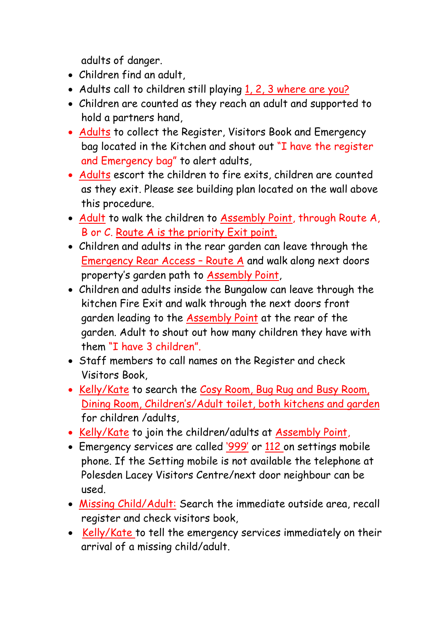adults of danger.

- Children find an adult,
- Adults call to children still playing 1, 2, 3 where are you?
- Children are counted as they reach an adult and supported to hold a partners hand,
- Adults to collect the Register, Visitors Book and Emergency bag located in the Kitchen and shout out "I have the register and Emergency bag" to alert adults,
- Adults escort the children to fire exits, children are counted as they exit. Please see building plan located on the wall above this procedure.
- Adult to walk the children to Assembly Point, through Route A, B or C. Route A is the priority Exit point.
- Children and adults in the rear garden can leave through the Emergency Rear Access – Route A and walk along next doors property's garden path to Assembly Point,
- Children and adults inside the Bungalow can leave through the kitchen Fire Exit and walk through the next doors front garden leading to the Assembly Point at the rear of the garden. Adult to shout out how many children they have with them "I have 3 children".
- Staff members to call names on the Register and check Visitors Book,
- Kelly/Kate to search the Cosy Room, Bug Rug and Busy Room, Dining Room, Children's/Adult toilet, both kitchens and garden for children /adults,
- Kelly/Kate to join the children/adults at Assembly Point,
- Emergency services are called '999' or 112 on settings mobile phone. If the Setting mobile is not available the telephone at Polesden Lacey Visitors Centre/next door neighbour can be used.
- Missing Child/Adult: Search the immediate outside area, recall register and check visitors book,
- Kelly/Kate to tell the emergency services immediately on their arrival of a missing child/adult.